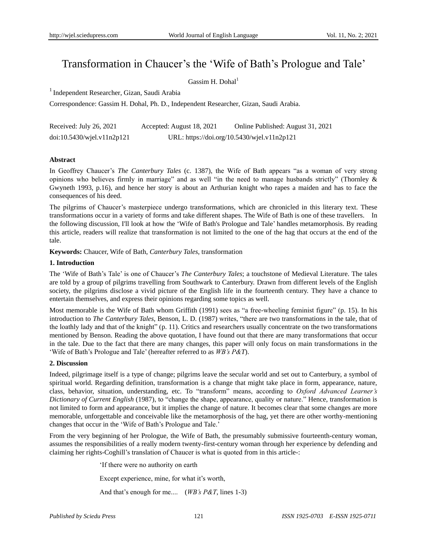# Transformation in Chaucer's the 'Wife of Bath's Prologue and Tale'

Gassim H. Dohal $<sup>1</sup>$ </sup>

1 Independent Researcher, Gizan, Saudi Arabia

Correspondence: Gassim H. Dohal, Ph. D., Independent Researcher, Gizan, Saudi Arabia.

| Received: July 26, 2021          | Accepted: August 18, 2021                   | Online Published: August 31, 2021 |
|----------------------------------|---------------------------------------------|-----------------------------------|
| $doi:10.5430/w$ jel.v $11n2p121$ | URL: https://doi.org/10.5430/wjel.v11n2p121 |                                   |

## **Abstract**

In Geoffrey Chaucer"s *The Canterbury Tales* (c. 1387), the Wife of Bath appears "as a woman of very strong opinions who believes firmly in marriage" and as well "in the need to manage husbands strictly" (Thornley & Gwyneth 1993, p.16), and hence her story is about an Arthurian knight who rapes a maiden and has to face the consequences of his deed.

The pilgrims of Chaucer's masterpiece undergo transformations, which are chronicled in this literary text. These transformations occur in a variety of forms and take different shapes. The Wife of Bath is one of these travellers. In the following discussion, I'll look at how the "Wife of Bath's Prologue and Tale" handles metamorphosis. By reading this article, readers will realize that transformation is not limited to the one of the hag that occurs at the end of the tale.

**Keywords:** Chaucer, Wife of Bath, *Canterbury Tales*, transformation

## **1. Introduction**

The "Wife of Bath"s Tale" is one of Chaucer"s *The Canterbury Tales*; a touchstone of Medieval Literature. The tales are told by a group of pilgrims travelling from Southwark to Canterbury. Drawn from different levels of the English society, the pilgrims disclose a vivid picture of the English life in the fourteenth century. They have a chance to entertain themselves, and express their opinions regarding some topics as well.

Most memorable is the Wife of Bath whom Griffith (1991) sees as "a free-wheeling feminist figure" (p. 15). In his introduction to *The Canterbury Tales*, Benson, L. D. (1987) writes, "there are two transformations in the tale, that of the loathly lady and that of the knight" (p. 11). Critics and researchers usually concentrate on the two transformations mentioned by Benson. Reading the above quotation, I have found out that there are many transformations that occur in the tale. Due to the fact that there are many changes, this paper will only focus on main transformations in the "Wife of Bath"s Prologue and Tale" (hereafter referred to as *WB's P&T*).

# **2. Discussion**

Indeed, pilgrimage itself is a type of change; pilgrims leave the secular world and set out to Canterbury, a symbol of spiritual world. Regarding definition, transformation is a change that might take place in form, appearance, nature, class, behavior, situation, understanding, etc. To "transform" means, according to *Oxford Advanced Learner's Dictionary of Current English* (1987), to "change the shape, appearance, quality or nature." Hence, transformation is not limited to form and appearance, but it implies the change of nature. It becomes clear that some changes are more memorable, unforgettable and conceivable like the metamorphosis of the hag, yet there are other worthy-mentioning changes that occur in the "Wife of Bath"s Prologue and Tale."

From the very beginning of her Prologue, the Wife of Bath, the presumably submissive fourteenth-century woman, assumes the responsibilities of a really modern twenty-first-century woman through her experience by defending and claiming her rights-Coghill"s translation of Chaucer is what is quoted from in this article-:

"If there were no authority on earth

Except experience, mine, for what it's worth,

And that"s enough for me.... (*WB's P&T*, lines 1-3)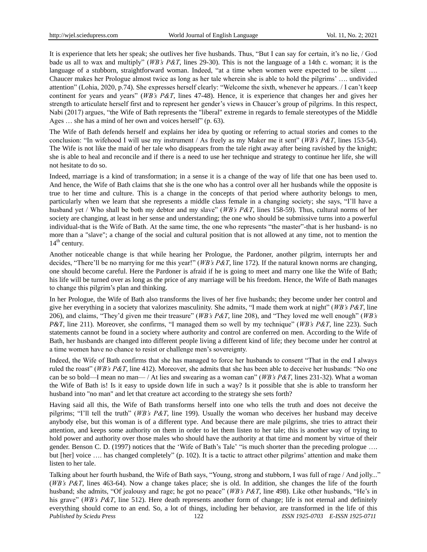It is experience that lets her speak; she outlives her five husbands. Thus, "But I can say for certain, it"s no lie, / God bade us all to wax and multiply" (*WB's P&T*, lines 29-30). This is not the language of a 14th c. woman; it is the language of a stubborn, straightforward woman. Indeed, "at a time when women were expected to be silent .... Chaucer makes her Prologue almost twice as long as her tale wherein she is able to hold the pilgrims" …. undivided attention" (Lohia, 2020, p.74). She expresses herself clearly: "Welcome the sixth, whenever he appears. / I can"t keep continent for years and years" (*WB's P&T*, lines 47-48). Hence, it is experience that changes her and gives her strength to articulate herself first and to represent her gender"s views in Chaucer"s group of pilgrims. In this respect, Nabi (2017) argues, "the Wife of Bath represents the "liberal" extreme in regards to female stereotypes of the Middle Ages … she has a mind of her own and voices herself" (p. 63).

The Wife of Bath defends herself and explains her idea by quoting or referring to actual stories and comes to the conclusion: "In wifehood I will use my instrument / As freely as my Maker me it sent" (*WB's P&T*, lines 153-54). The Wife is not like the maid of her tale who disappears from the tale right away after being ravished by the knight; she is able to heal and reconcile and if there is a need to use her technique and strategy to continue her life, she will not hesitate to do so.

Indeed, marriage is a kind of transformation; in a sense it is a change of the way of life that one has been used to. And hence, the Wife of Bath claims that she is the one who has a control over all her husbands while the opposite is true to her time and culture. This is a change in the concepts of that period where authority belongs to men, particularly when we learn that she represents a middle class female in a changing society; she says, "I"ll have a husband yet / Who shall be both my debtor and my slave" (*WB's P&T*, lines 158-59). Thus, cultural norms of her society are changing, at least in her sense and understanding; the one who should be submissive turns into a powerful individual-that is the Wife of Bath. At the same time, the one who represents "the master"-that is her husband- is no more than a "slave"; a change of the social and cultural position that is not allowed at any time, not to mention the  $14<sup>th</sup>$  century.

Another noticeable change is that while hearing her Prologue, the Pardoner, another pilgrim, interrupts her and decides, "There"ll be no marrying for me this year!" (*WB's P&T*, line 172). If the natural known norms are changing, one should become careful. Here the Pardoner is afraid if he is going to meet and marry one like the Wife of Bath; his life will be turned over as long as the price of any marriage will be his freedom. Hence, the Wife of Bath manages to change this pilgrim"s plan and thinking.

In her Prologue, the Wife of Bath also transforms the lives of her five husbands; they become under her control and give her everything in a society that valorizes masculinity. She admits, "I made them work at night" (*WB's P&T*, line 206), and claims, "They"d given me their treasure" (*WB's P&T*, line 208), and "They loved me well enough" (*WB's P&T*, line 211). Moreover, she confirms, "I managed them so well by my technique" (*WB's P&T*, line 223). Such statements cannot be found in a society where authority and control are conferred on men. According to the Wife of Bath, her husbands are changed into different people living a different kind of life; they become under her control at a time women have no chance to resist or challenge men"s sovereignty.

Indeed, the Wife of Bath confirms that she has managed to force her husbands to consent "That in the end I always ruled the roast" (*WB's P&T*, line 412). Moreover, she admits that she has been able to deceive her husbands: "No one can be so bold—I mean no man— / At lies and swearing as a woman can" (*WB's P&T*, lines 231-32). What a woman the Wife of Bath is! Is it easy to upside down life in such a way? Is it possible that she is able to transform her husband into "no man" and let that creature act according to the strategy she sets forth?

Having said all this, the Wife of Bath transforms herself into one who tells the truth and does not deceive the pilgrims; "I"ll tell the truth" (*WB's P&T*, line 199). Usually the woman who deceives her husband may deceive anybody else, but this woman is of a different type. And because there are male pilgrims, she tries to attract their attention, and keeps some authority on them in order to let them listen to her tale; this is another way of trying to hold power and authority over those males who should have the authority at that time and moment by virtue of their gender. Benson C. D. (1997) notices that the 'Wife of Bath's Tale' "is much shorter than the preceding prologue .... but [her] voice .... has changed completely" (p. 102). It is a tactic to attract other pilgrims' attention and make them listen to her tale.

*Published by Sciedu Press* 122 *ISSN 1925-0703 E-ISSN 1925-0711* Talking about her fourth husband, the Wife of Bath says, "Young, strong and stubborn, I was full of rage / And jolly..." (*WB's P&T*, lines 463-64). Now a change takes place; she is old. In addition, she changes the life of the fourth husband; she admits, "Of jealousy and rage; he got no peace" (*WB's P&T*, line 498). Like other husbands, "He"s in his grave" (*WB's P&T*, line 512). Here death represents another form of change; life is not eternal and definitely everything should come to an end. So, a lot of things, including her behavior, are transformed in the life of this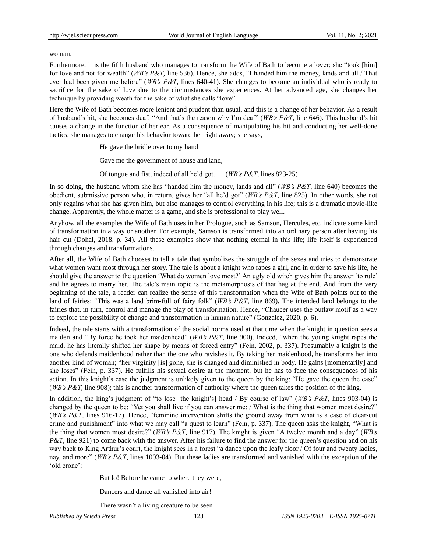#### woman.

Furthermore, it is the fifth husband who manages to transform the Wife of Bath to become a lover; she "took [him] for love and not for wealth" (*WB's P&T*, line 536). Hence, she adds, "I handed him the money, lands and all / That ever had been given me before" (*WB's P&T*, lines 640-41). She changes to become an individual who is ready to sacrifice for the sake of love due to the circumstances she experiences. At her advanced age, she changes her technique by providing weath for the sake of what she calls "love".

Here the Wife of Bath becomes more lenient and prudent than usual, and this is a change of her behavior. As a result of husband"s hit, she becomes deaf; "And that"s the reason why I"m deaf" (*WB's P&T*, line 646). This husband"s hit causes a change in the function of her ear. As a consequence of manipulating his hit and conducting her well-done tactics, she manages to change his behavior toward her right away; she says,

He gave the bridle over to my hand

Gave me the government of house and land,

Of tongue and fist, indeed of all he"d got. (*WB's P&T*, lines 823-25)

In so doing, the husband whom she has "handed him the money, lands and all" (*WB's P&T*, line 640) becomes the obedient, submissive person who, in return, gives her "all he"d got" (*WB's P&T*, line 825). In other words, she not only regains what she has given him, but also manages to control everything in his life; this is a dramatic movie-like change. Apparently, the whole matter is a game, and she is professional to play well.

Anyhow, all the examples the Wife of Bath uses in her Prologue, such as Samson, Hercules, etc. indicate some kind of transformation in a way or another. For example, Samson is transformed into an ordinary person after having his hair cut (Dohal, 2018, p. 34). All these examples show that nothing eternal in this life; life itself is experienced through changes and transformations.

After all, the Wife of Bath chooses to tell a tale that symbolizes the struggle of the sexes and tries to demonstrate what women want most through her story. The tale is about a knight who rapes a girl, and in order to save his life, he should give the answer to the question "What do women love most?" An ugly old witch gives him the answer "to rule" and he agrees to marry her. The tale"s main topic is the metamorphosis of that hag at the end. And from the very beginning of the tale, a reader can realize the sense of this transformation when the Wife of Bath points out to the land of fairies: "This was a land brim-full of fairy folk" (*WB's P&T*, line 869). The intended land belongs to the fairies that, in turn, control and manage the play of transformation. Hence, "Chaucer uses the outlaw motif as a way to explore the possibility of change and transformation in human nature" (Gonzalez, 2020, p. 6).

Indeed, the tale starts with a transformation of the social norms used at that time when the knight in question sees a maiden and "By force he took her maidenhead" (*WB's P&T*, line 900). Indeed, "when the young knight rapes the maid, he has literally shifted her shape by means of forced entry" (Fein, 2002, p. 337). Presumably a knight is the one who defends maidenhood rather than the one who ravishes it. By taking her maidenhood, he transforms her into another kind of woman; "her virginity [is] gone, she is changed and diminished in body. He gains [momentarily] and she loses" (Fein, p. 337). He fulfills his sexual desire at the moment, but he has to face the consequences of his action. In this knight's case the judgment is unlikely given to the queen by the king: "He gave the queen the case" (*WB's P&T*, line 908); this is another transformation of authority where the queen takes the position of the king.

In addition, the king's judgment of "to lose [the knight's] head / By course of law" (*WB's P&T*, lines 903-04) is changed by the queen to be: "Yet you shall live if you can answer me: / What is the thing that women most desire?" (*WB's P&T*, lines 916-17). Hence, "feminine intervention shifts the ground away from what is a case of clear-cut crime and punishment" into what we may call "a quest to learn" (Fein, p. 337). The queen asks the knight, "What is the thing that women most desire?" (*WB's P&T*, line 917). The knight is given "A twelve month and a day" (*WB's P&T*, line 921) to come back with the answer. After his failure to find the answer for the queen's question and on his way back to King Arthur"s court, the knight sees in a forest "a dance upon the leafy floor / Of four and twenty ladies, nay, and more" (*WB's P&T*, lines 1003-04). But these ladies are transformed and vanished with the exception of the 'old crone':

But lo! Before he came to where they were,

Dancers and dance all vanished into air!

There wasn't a living creature to be seen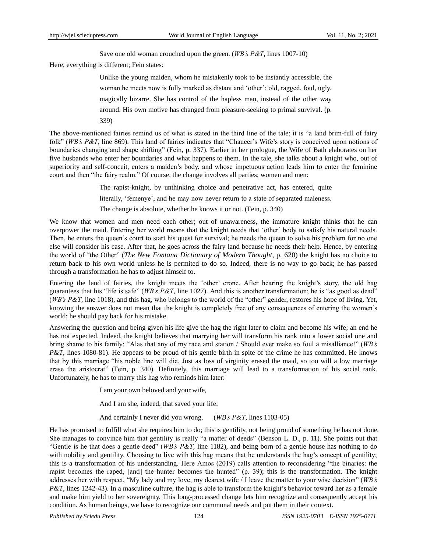Save one old woman crouched upon the green. (*WB's P&T*, lines 1007-10)

Here, everything is different; Fein states:

Unlike the young maiden, whom he mistakenly took to be instantly accessible, the woman he meets now is fully marked as distant and "other": old, ragged, foul, ugly, magically bizarre. She has control of the hapless man, instead of the other way around. His own motive has changed from pleasure-seeking to primal survival. (p. 339)

The above-mentioned fairies remind us of what is stated in the third line of the tale; it is "a land brim-full of fairy folk" (*WB's P&T*, line 869). This land of fairies indicates that "Chaucer's Wife's story is conceived upon notions of boundaries changing and shape shifting" (Fein, p. 337). Earlier in her prologue, the Wife of Bath elaborates on her five husbands who enter her boundaries and what happens to them. In the tale, she talks about a knight who, out of superiority and self-conceit, enters a maiden's body, and whose impetuous action leads him to enter the feminine court and then "the fairy realm." Of course, the change involves all parties; women and men:

> The rapist-knight, by unthinking choice and penetrative act, has entered, quite literally, 'femenye', and he may now never return to a state of separated maleness. The change is absolute, whether he knows it or not. (Fein, p. 340)

We know that women and men need each other; out of unawareness, the immature knight thinks that he can overpower the maid. Entering her world means that the knight needs that "other" body to satisfy his natural needs. Then, he enters the queen's court to start his quest for survival; he needs the queen to solve his problem for no one else will consider his case. After that, he goes across the fairy land because he needs their help. Hence, by entering the world of "the Other" (*The New Fontana Dictionary of Modern Thought*, p. 620) the knight has no choice to return back to his own world unless he is permited to do so. Indeed, there is no way to go back; he has passed through a transformation he has to adjust himself to.

Entering the land of fairies, the knight meets the 'other' crone. After hearing the knight's story, the old hag guarantees that his "life is safe" (*WB's P&T*, line 1027). And this is another transformation; he is "as good as dead" (*WB's P&T*, line 1018), and this hag, who belongs to the world of the "other" gender, restores his hope of living. Yet, knowing the answer does not mean that the knight is completely free of any consequences of entering the women"s world; he should pay back for his mistake.

Answering the question and being given his life give the hag the right later to claim and become his wife; an end he has not expected. Indeed, the knight believes that marrying her will transform his rank into a lower social one and bring shame to his family: "Alas that any of my race and station / Should ever make so foul a misalliance!" (*WB's P&T*, lines 1080-81). He appears to be proud of his gentle birth in spite of the crime he has committed. He knows that by this marriage "his noble line will die. Just as loss of virginity erased the maid, so too will a low marriage erase the aristocrat" (Fein, p. 340). Definitely, this marriage will lead to a transformation of his social rank. Unfortunately, he has to marry this hag who reminds him later:

I am your own beloved and your wife,

And I am she, indeed, that saved your life;

And certainly I never did you wrong. (*WB's P&T*, lines 1103-05)

He has promised to fulfill what she requires him to do; this is gentility, not being proud of something he has not done. She manages to convince him that gentility is really "a matter of deeds" (Benson L. D., p. 11). She points out that "Gentle is he that does a gentle deed" (*WB's P&T*, line 1182), and being born of a gentle house has nothing to do with nobility and gentility. Choosing to live with this hag means that he understands the hag's concept of gentility; this is a transformation of his understanding. Here Amos (2019) calls attention to reconsidering "the binaries: the rapist becomes the raped, [and] the hunter becomes the hunted" (p. 39); this is the transformation. The knight addresses her with respect, "My lady and my love, my dearest wife / I leave the matter to your wise decision" (*WB's P&T*, lines 1242-43). In a masculine culture, the hag is able to transform the knight's behavior toward her as a female and make him yield to her sovereignty. This long-processed change lets him recognize and consequently accept his condition. As human beings, we have to recognize our communal needs and put them in their context.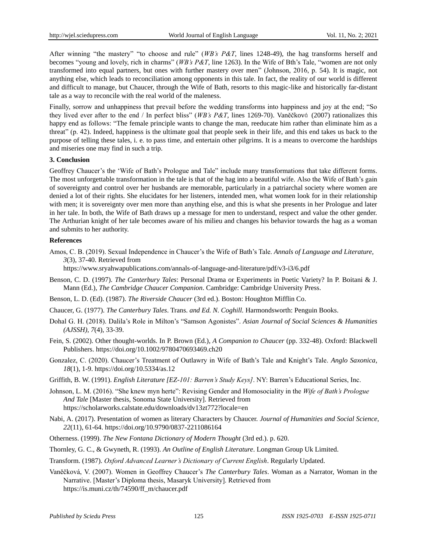After winning "the mastery" "to choose and rule" (*WB's P&T*, lines 1248-49), the hag transforms herself and becomes "young and lovely, rich in charms" (*WB*'s *P&T*, line 1263). In the Wife of Bth's Tale, "women are not only transformed into equal partners, but ones with further mastery over men" (Johnson, 2016, p. 54). It is magic, not anything else, which leads to reconciliation among opponents in this tale. In fact, the reality of our world is different and difficult to manage, but Chaucer, through the Wife of Bath, resorts to this magic-like and historically far-distant tale as a way to reconcile with the real world of the maleness.

Finally, sorrow and unhappiness that prevail before the wedding transforms into happiness and joy at the end; "So they lived ever after to the end / In perfect bliss" (*WB's P&T*, lines 1269-70). Vaněčková (2007) rationalizes this happy end as follows: "The female principle wants to change the man, reeducate him rather than eliminate him as a threat" (p. 42). Indeed, happiness is the ultimate goal that people seek in their life, and this end takes us back to the purpose of telling these tales, i. e. to pass time, and entertain other pilgrims. It is a means to overcome the hardships and miseries one may find in such a trip.

#### **3. Conclusion**

Geoffrey Chaucer's the 'Wife of Bath's Prologue and Tale'' include many transformations that take different forms. The most unforgettable transformation in the tale is that of the hag into a beautiful wife. Also the Wife of Bath's gain of sovereignty and control over her husbands are memorable, particularly in a patriarchal society where women are denied a lot of their rights. She elucidates for her listeners, intended men, what women look for in their relationship with men; it is sovereignty over men more than anything else, and this is what she presents in her Prologue and later in her tale. In both, the Wife of Bath draws up a message for men to understand, respect and value the other gender. The Arthurian knight of her tale becomes aware of his milieu and changes his behavior towards the hag as a woman and submits to her authority.

#### **References**

Amos, C. B. (2019). Sexual Independence in Chaucer"s the Wife of Bath"s Tale. *Annals of Language and Literature, 3*(3), 37-40. Retrieved from

<https://www.sryahwapublications.com/annals-of-language-and-literature/pdf/v3-i3/6.pdf>

- Benson, C. D. (1997). *The Canterbury Tales*: Personal Drama or Experiments in Poetic Variety? In P. Boitani & J. Mann (Ed.), *The Cambridge Chaucer Companion*. Cambridge: Cambridge University Press.
- Benson, L. D. (Ed). (1987). *The Riverside Chaucer* (3rd ed.). Boston: Houghton Mifflin Co.
- Chaucer, G. (1977). *The Canterbury Tales*. Trans. *and Ed. N. Coghill.* Harmondsworth: Penguin Books.
- Dohal G. H. (2018). Dalila"s Role in Milton"s "Samson Agonistes". *Asian Journal of Social Sciences & Humanities (AJSSH), 7*(4), 33-39.
- Fein, S. (2002). Other thought-worlds. In P. Brown (Ed.), *A Companion to Chaucer* (pp. 332-48). Oxford: Blackwell Publishers. https://doi.org/10.1002/9780470693469.ch20
- Gonzalez, C. (2020). Chaucer"s Treatment of Outlawry in Wife of Bath"s Tale and Knight"s Tale. *Anglo Saxonica*, *18*(1), 1-9.<https://doi.org/10.5334/as.12>
- Griffith, B. W. (1991). *English Literature [EZ-101: Barren's Study Keys]*. NY: Barren"s Educational Series, Inc.
- Johnson, L. M. (2016). "She knew myn herte": Revising Gender and Homosociality in the *Wife of Bath's Prologue And Tale* [Master thesis, Sonoma State University]. Retrieved from <https://scholarworks.calstate.edu/downloads/dv13zt772?locale=en>
- Nabi, A. (2017). Presentation of women as literary Characters by Chaucer. *Journal of Humanities and Social Science*, *22*(11), 61-64[. https://doi.org/10.9790/0837-2211086164](https://doi.org/10.9790/0837-2211086164)
- Otherness. (1999). *The New Fontana Dictionary of Modern Thought* (3rd ed.). p. 620.
- Thornley, G. C., & Gwyneth, R. (1993). *An Outline of English Literature*. Longman Group Uk Limited.
- Transform. (1987). *Oxford Advanced Learner's Dictionary of Current English*. Regularly Updated.
- Vaněčková, V. (2007). Women in Geoffrey Chaucer"s *The Canterbury Tales*. Woman as a Narrator, Woman in the Narrative. [Master"s Diploma thesis, Masaryk University]. Retrieved from [https://is.muni.cz/th/74590/ff\\_m/chaucer.pdf](https://is.muni.cz/th/74590/ff_m/chaucer.pdf)